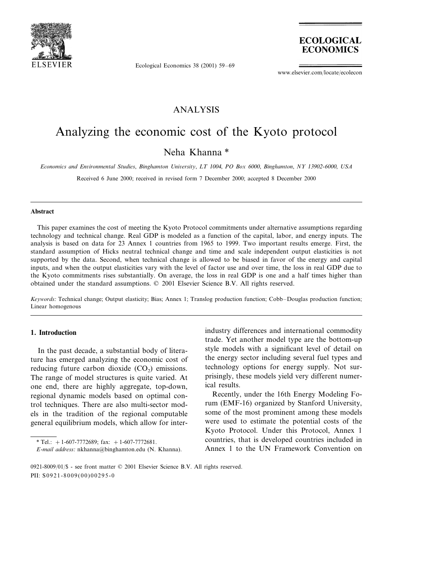

Ecological Economics 38 (2001) 59–69



www.elsevier.com/locate/ecolecon

### ANALYSIS

## Analyzing the economic cost of the Kyoto protocol

## Neha Khanna \*

*Economics and Enironmental Studies*, *Binghamton Uniersity*, *LT* <sup>1004</sup>, *PO Box* <sup>6000</sup>, *Binghamton*, *NY* <sup>13902</sup>-6000, *USA*

Received 6 June 2000; received in revised form 7 December 2000; accepted 8 December 2000

#### **Abstract**

This paper examines the cost of meeting the Kyoto Protocol commitments under alternative assumptions regarding technology and technical change. Real GDP is modeled as a function of the capital, labor, and energy inputs. The analysis is based on data for 23 Annex 1 countries from 1965 to 1999. Two important results emerge. First, the standard assumption of Hicks neutral technical change and time and scale independent output elasticities is not supported by the data. Second, when technical change is allowed to be biased in favor of the energy and capital inputs, and when the output elasticities vary with the level of factor use and over time, the loss in real GDP due to the Kyoto commitments rises substantially. On average, the loss in real GDP is one and a half times higher than obtained under the standard assumptions. © 2001 Elsevier Science B.V. All rights reserved.

*Keywords*: Technical change; Output elasticity; Bias; Annex 1; Translog production function; Cobb–Douglas production function; Linear homogenous

#### **1. Introduction**

In the past decade, a substantial body of literature has emerged analyzing the economic cost of reducing future carbon dioxide  $(CO<sub>2</sub>)$  emissions. The range of model structures is quite varied. At one end, there are highly aggregate, top-down, regional dynamic models based on optimal control techniques. There are also multi-sector models in the tradition of the regional computable general equilibrium models, which allow for interindustry differences and international commodity trade. Yet another model type are the bottom-up style models with a significant level of detail on the energy sector including several fuel types and technology options for energy supply. Not surprisingly, these models yield very different numerical results.

Recently, under the 16th Energy Modeling Forum (EMF-16) organized by Stanford University, some of the most prominent among these models were used to estimate the potential costs of the Kyoto Protocol. Under this Protocol, Annex 1 countries, that is developed countries included in Annex 1 to the UN Framework Convention on

<sup>\*</sup> Tel.:  $+1$ -607-7772689; fax:  $+1$ -607-7772681.

*E*-*mail address*: nkhanna@binghamton.edu (N. Khanna).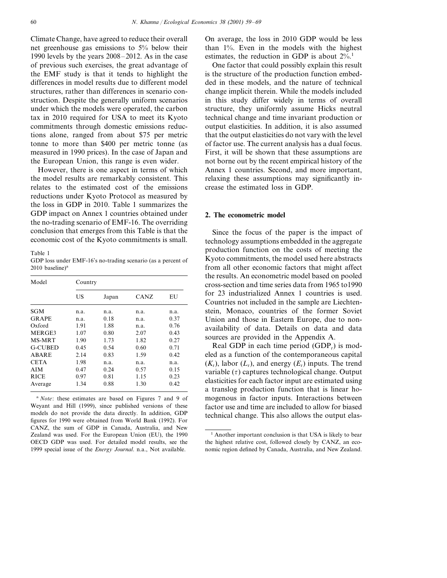Climate Change, have agreed to reduce their overall net greenhouse gas emissions to 5% below their 1990 levels by the years 2008–2012. As in the case of previous such exercises, the great advantage of the EMF study is that it tends to highlight the differences in model results due to different model structures, rather than differences in scenario construction. Despite the generally uniform scenarios under which the models were operated, the carbon tax in 2010 required for USA to meet its Kyoto commitments through domestic emissions reductions alone, ranged from about \$75 per metric tonne to more than \$400 per metric tonne (as measured in 1990 prices). In the case of Japan and the European Union, this range is even wider.

However, there is one aspect in terms of which the model results are remarkably consistent. This relates to the estimated cost of the emissions reductions under Kyoto Protocol as measured by the loss in GDP in 2010. Table 1 summarizes the GDP impact on Annex 1 countries obtained under the no-trading scenario of EMF-16. The overriding conclusion that emerges from this Table is that the economic cost of the Kyoto commitments is small.

Table 1

GDP loss under EMF-16's no-trading scenario (as a percent of  $2010$  baseline)<sup>a</sup>

| Model          | Country |       |             |      |
|----------------|---------|-------|-------------|------|
|                | US      | Japan | <b>CANZ</b> | EU   |
| <b>SGM</b>     | n.a.    | n.a.  | n.a.        | n.a. |
| <b>GRAPE</b>   | n.a.    | 0.18  | n.a.        | 0.37 |
| Oxford         | 1.91    | 1.88  | n.a.        | 0.76 |
| MERGE3         | 1.07    | 0.80  | 2.07        | 0.43 |
| MS-MRT         | 1.90    | 1.73  | 1.82        | 0.27 |
| <b>G-CUBED</b> | 0.45    | 0.54  | 0.60        | 0.71 |
| ABARE          | 2.14    | 0.83  | 1.59        | 0.42 |
| <b>CETA</b>    | 1.98    | n.a.  | n.a.        | n.a. |
| AIM            | 0.47    | 0.24  | 0.57        | 0.15 |
| <b>RICE</b>    | 0.97    | 0.81  | 1.15        | 0.23 |
| Average        | 1.34    | 0.88  | 1.30        | 0.42 |

<sup>a</sup> *Note*: these estimates are based on Figures 7 and 9 of Weyant and Hill (1999), since published versions of these models do not provide the data directly. In addition, GDP figures for 1990 were obtained from World Bank (1992). For CANZ, the sum of GDP in Canada, Australia, and New Zealand was used. For the European Union (EU), the 1990 OECD GDP was used. For detailed model results, see the 1999 special issue of the *Energy Journal*. n.a., Not available.

On average, the loss in 2010 GDP would be less than 1%. Even in the models with the highest estimates, the reduction in GDP is about  $2\%$ .<sup>1</sup>

One factor that could possibly explain this result is the structure of the production function embedded in these models, and the nature of technical change implicit therein. While the models included in this study differ widely in terms of overall structure, they uniformly assume Hicks neutral technical change and time invariant production or output elasticities. In addition, it is also assumed that the output elasticities do not vary with the level of factor use. The current analysis has a dual focus. First, it will be shown that these assumptions are not borne out by the recent empirical history of the Annex 1 countries. Second, and more important, relaxing these assumptions may significantly increase the estimated loss in GDP.

#### **2. The econometric model**

Since the focus of the paper is the impact of technology assumptions embedded in the aggregate production function on the costs of meeting the Kyoto commitments, the model used here abstracts from all other economic factors that might affect the results. An econometric model based on pooled cross-section and time series data from 1965 to1990 for 23 industrialized Annex 1 countries is used. Countries not included in the sample are Liechtenstein, Monaco, countries of the former Soviet Union and those in Eastern Europe, due to nonavailability of data. Details on data and data sources are provided in the Appendix A.

Real GDP in each time period (GDP<sub>t</sub>) is modeled as a function of the contemporaneous capital  $(K_t)$ , labor  $(L_t)$ , and energy  $(E_t)$  inputs. The trend variable  $(\tau)$  captures technological change. Output elasticities for each factor input are estimated using a translog production function that is linear homogenous in factor inputs. Interactions between factor use and time are included to allow for biased technical change. This also allows the output elas-

<sup>&</sup>lt;sup>1</sup> Another important conclusion is that USA is likely to bear the highest relative cost, followed closely by CANZ, an economic region defined by Canada, Australia, and New Zealand.